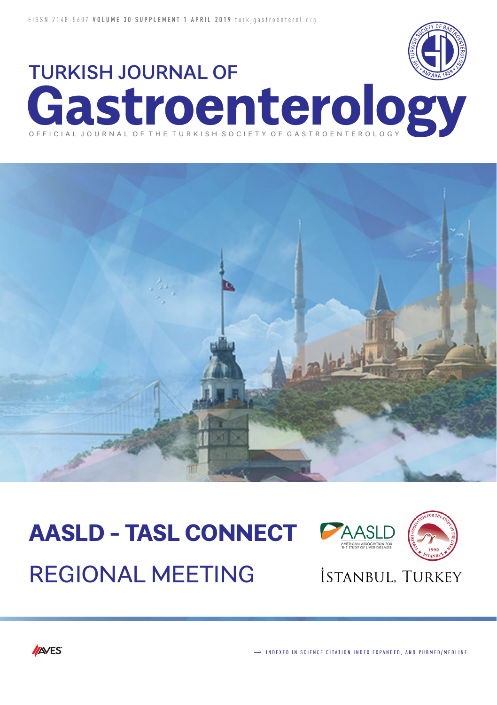



# **AASLD - TASL CONNECT** REGIONAL MEETING



# İSTANBUL, TURKEY

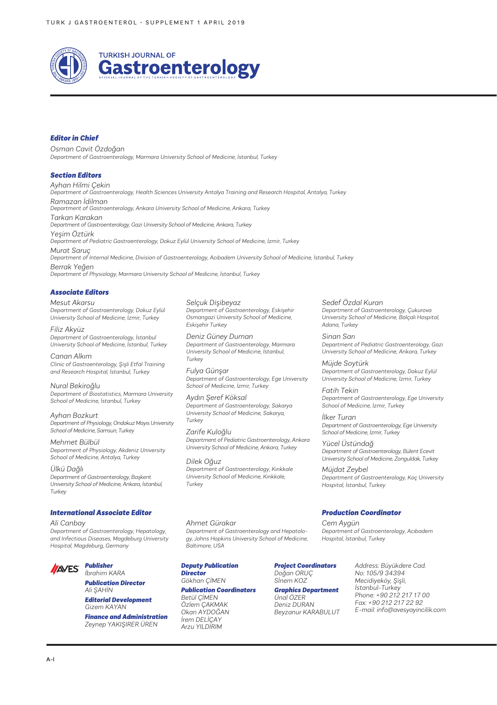

#### *Editor in Chief*

*Osman Cavit Özdoğan Department of Gastroenterology, Marmara University School of Medicine, İstanbul, Turkey*

#### *Section Editors*

*Ayhan Hilmi Çekin Department of Gastroenterology, Health Sciences University Antalya Training and Research Hospital, Antalya, Turkey Ramazan İdilman Department of Gastroenterology, Ankara University School of Medicine, Ankara, Turkey Tarkan Karakan Department of Gastroenterology, Gazi University School of Medicine, Ankara, Turkey Yeşim Öztürk Department of Pediatric Gastroenterology, Dokuz Eylül University School of Medicine, İzmir, Turkey Murat Saruç Department of Internal Medicine, Division of Gastroenterology, Acıbadem University School of Medicine, İstanbul, Turkey*

*Berrak Yeğen Department of Physiology, Marmara University School of Medicine, İstanbul, Turkey*

#### *Associate Editors*

*Mesut Akarsu Department of Gastroenterology, Dokuz Eylül University School of Medicine, İzmir, Turkey*

*Filiz Akyüz Department of Gastroenterology, İstanbul University School of Medicine, İstanbul, Turkey*

*Canan Alkım Clinic of Gastroenterology, Şişli Etfal Training and Research Hospital, İstanbul, Turkey*

*Nural Bekiroğlu Department of Biostatistics, Marmara University School of Medicine, İstanbul, Turkey*

*Ayhan Bozkurt Department of Physiology, Ondokuz Mayıs University School of Medicine, Samsun, Turkey*

*Mehmet Bülbül Department of Physiology, Akdeniz University School of Medicine, Antalya, Turkey*

*Ülkü Dağlı Department of Gastroenterology, Başkent University School of Medicine, Ankara, İstanbul, Turkey*

#### *International Associate Editor*

*Ali Canbay Department of Gastroenterology, Hepatology, and Infectious Diseases, Magdeburg University Hospital, Magdeburg, Germany*



*Publication Director Ali ŞAHİN*

*Editorial Development Gizem KAYAN*

*Finance and Administration Zeynep YAKIŞIRER ÜREN*

*Selçuk Dişibeyaz Department of Gastroenterology, Eskişehir Osmangazi University School of Medicine, Eskişehir Turkey*

*Deniz Güney Duman Department of Gastroenterology, Marmara University School of Medicine, İstanbul, Turkey*

*Fulya Günşar Department of Gastroenterology, Ege University School of Medicine, İzmir, Turkey*

*Aydın Şeref Köksal Department of Gastroenterology, Sakarya University School of Medicine, Sakarya, Turkey*

*Zarife Kuloğlu Department of Pediatric Gastroenterology, Ankara University School of Medicine, Ankara, Turkey*

*Dilek Oğuz Department of Gastroenterology, Kırıkkale University School of Medicine, Kırıkkale, Turkey*

*Department of Gastroenterology and Hepatology, Johns Hopkins University School of Medicine,* 

*Ahmet Gürakar*

*Baltimore, USA*

*Deputy Publication Director Gökhan ÇİMEN Publication Coordinators Betül ÇİMEN Özlem ÇAKMAK Okan AYDOĞAN İrem DELİÇAY Arzu YILDIRIM*

*Project Coordinators Doğan ORUÇ Sİnem KOZ*

*Graphics Department Ünal ÖZER Deniz DURAN Beyzanur KARABULUT* *Address: Büyükdere Cad. No: 105/9 34394 Mecidiyeköy, Şişli, İstanbul-Turkey Phone: +90 212 217 17 00 Fax: +90 212 217 22 92*

*E-mail: info@avesyayincilik.com*

*Sedef Özdal Kuran Department of Gastroenterology, Çukurova University School of Medicine, Balçalı Hospital, Adana, Turkey Sinan Sarı* 

*Department of Pediatric Gastroenterology, Gazi University School of Medicine, Ankara, Turkey*

*Müjde Soytürk Department of Gastroenterology, Dokuz Eylül University School of Medicine, İzmir, Turkey*

*Fatih Tekin Department of Gastroenterology, Ege University School of Medicine, İzmir, Turkey*

*İlker Turan Department of Gastroenterology, Ege University School of Medicine, İzmir, Turkey*

*Yücel Üstündağ Department of Gastroenterology, Bülent Ecevit University School of Medicine, Zonguldak, Turkey*

*Müjdat Zeybel Department of Gastroenterology, Koç University Hospital, İstanbul, Turkey*

#### *Production Coordinator*

*Cem Aygün Department of Gastroenterology, Acıbadem Hospital, İstanbul, Turkey*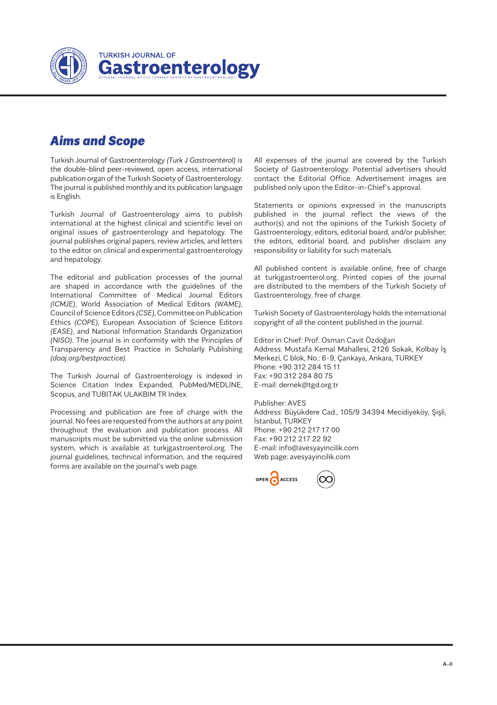

### *Aims and Scope*

Turkish Journal of Gastroenterology *(Turk J Gastroenterol)* is the double-blind peer-reviewed, open access, international publication organ of the Turkish Society of Gastroenterology. The journal is published monthly and its publication language is English.

Turkish Journal of Gastroenterology aims to publish international at the highest clinical and scientific level on original issues of gastroenterology and hepatology. The journal publishes original papers, review articles, and letters to the editor on clinical and experimental gastroenterology and hepatology.

The editorial and publication processes of the journal are shaped in accordance with the guidelines of the International Committee of Medical Journal Editors *(ICMJE)*, World Association of Medical Editors *(WAME)*, Council of Science Editors *(CSE)*, Committee on Publication Ethics *(COPE)*, European Association of Science Editors *(EASE)*, and National Information Standards Organization *(NISO)*. The journal is in conformity with the Principles of Transparency and Best Practice in Scholarly Publishing *(doaj.org/bestpractice)*.

The Turkish Journal of Gastroenterology is indexed in Science Citation Index Expanded, PubMed/MEDLINE, Scopus, and TUBITAK ULAKBIM TR Index.

Processing and publication are free of charge with the journal. No fees are requested from the authors at any point throughout the evaluation and publication process. All manuscripts must be submitted via the online submission system, which is available at turkjgastroenterol.org. The journal guidelines, technical information, and the required forms are available on the journal's web page.

All expenses of the journal are covered by the Turkish Society of Gastroenterology. Potential advertisers should contact the Editorial Office. Advertisement images are published only upon the Editor-in-Chief's approval.

Statements or opinions expressed in the manuscripts published in the journal reflect the views of the author(s) and not the opinions of the Turkish Society of Gastroenterology, editors, editorial board, and/or publisher; the editors, editorial board, and publisher disclaim any responsibility or liability for such materials.

All published content is available online, free of charge at turkjgastroenterol.org. Printed copies of the journal are distributed to the members of the Turkish Society of Gastroenterology, free of charge.

Turkish Society of Gastroenterology holds the international copyright of all the content published in the journal.

Editor in Chief: Prof. Osman Cavit Özdoğan Address: Mustafa Kemal Mahallesi, 2126 Sokak, Kolbay İş Merkezi, C blok, No.: 6-9, Çankaya, Ankara, TURKEY Phone: +90 312 284 15 11 Fax: +90 312 284 80 75 E-mail: dernek@tgd.org.tr

Publisher: AVES Address: Büyükdere Cad., 105/9 34394 Mecidiyeköy, Şişli, İstanbul, TURKEY Phone: +90 212 217 17 00 Fax: +90 212 217 22 92 E-mail: info@avesyayincilik.com Web page: avesyayincilik.com

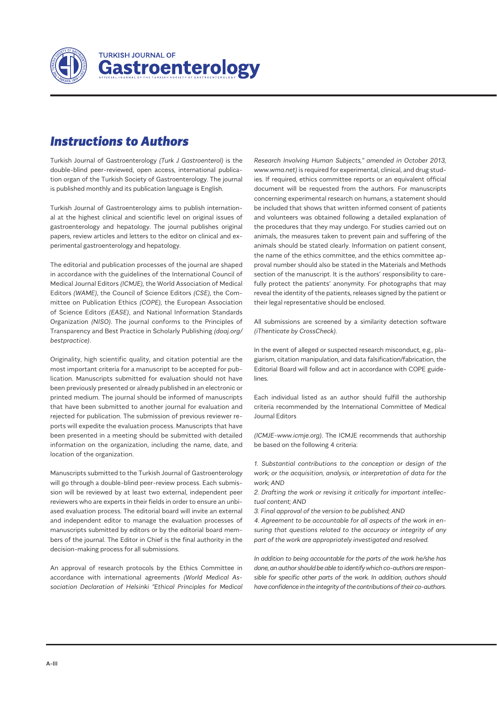

# *Instructions to Authors*

Turkish Journal of Gastroenterology *(Turk J Gastroenterol)* is the double-blind peer-reviewed, open access, international publication organ of the Turkish Society of Gastroenterology. The journal is published monthly and its publication language is English.

Turkish Journal of Gastroenterology aims to publish international at the highest clinical and scientific level on original issues of gastroenterology and hepatology. The journal publishes original papers, review articles and letters to the editor on clinical and experimental gastroenterology and hepatology.

The editorial and publication processes of the journal are shaped in accordance with the guidelines of the International Council of Medical Journal Editors *(ICMJE),* the World Association of Medical Editors *(WAME)*, the Council of Science Editors *(CSE),* the Committee on Publication Ethics *(COPE),* the European Association of Science Editors *(EASE)*, and National Information Standards Organization *(NISO)*. The journal conforms to the Principles of Transparency and Best Practice in Scholarly Publishing *(doaj.org/ bestpractice)*.

Originality, high scientific quality, and citation potential are the most important criteria for a manuscript to be accepted for publication. Manuscripts submitted for evaluation should not have been previously presented or already published in an electronic or printed medium. The journal should be informed of manuscripts that have been submitted to another journal for evaluation and rejected for publication. The submission of previous reviewer reports will expedite the evaluation process. Manuscripts that have been presented in a meeting should be submitted with detailed information on the organization, including the name, date, and location of the organization.

Manuscripts submitted to the Turkish Journal of Gastroenterology will go through a double-blind peer-review process. Each submission will be reviewed by at least two external, independent peer reviewers who are experts in their fields in order to ensure an unbiased evaluation process. The editorial board will invite an external and independent editor to manage the evaluation processes of manuscripts submitted by editors or by the editorial board members of the journal. The Editor in Chief is the final authority in the decision-making process for all submissions.

An approval of research protocols by the Ethics Committee in accordance with international agreements *(World Medical Association Declaration of Helsinki "Ethical Principles for Medical*  *Research Involving Human Subjects," amended in October 2013, www.wma.net)* is required for experimental, clinical, and drug studies. If required, ethics committee reports or an equivalent official document will be requested from the authors. For manuscripts concerning experimental research on humans, a statement should be included that shows that written informed consent of patients and volunteers was obtained following a detailed explanation of the procedures that they may undergo. For studies carried out on animals, the measures taken to prevent pain and suffering of the animals should be stated clearly. Information on patient consent, the name of the ethics committee, and the ethics committee approval number should also be stated in the Materials and Methods section of the manuscript. It is the authors' responsibility to carefully protect the patients' anonymity. For photographs that may reveal the identity of the patients, releases signed by the patient or their legal representative should be enclosed.

All submissions are screened by a similarity detection software *(iThenticate by CrossCheck)*.

In the event of alleged or suspected research misconduct, e.g., plagiarism, citation manipulation, and data falsification/fabrication, the Editorial Board will follow and act in accordance with COPE guidelines.

Each individual listed as an author should fulfill the authorship criteria recommended by the International Committee of Medical Journal Editors

*(ICMJE-www.icmje.org)*. The ICMJE recommends that authorship be based on the following 4 criteria:

*1. Substantial contributions to the conception or design of the work; or the acquisition, analysis, or interpretation of data for the work; AND*

*2. Drafting the work or revising it critically for important intellectual content; AND*

*3. Final approval of the version to be published; AND*

*4. Agreement to be accountable for all aspects of the work in ensuring that questions related to the accuracy or integrity of any part of the work are appropriately investigated and resolved.*

*In addition to being accountable for the parts of the work he/she has done, an author should be able to identify which co-authors are responsible for specific other parts of the work. In addition, authors should have confidence in the integrity of the contributions of their co-authors.*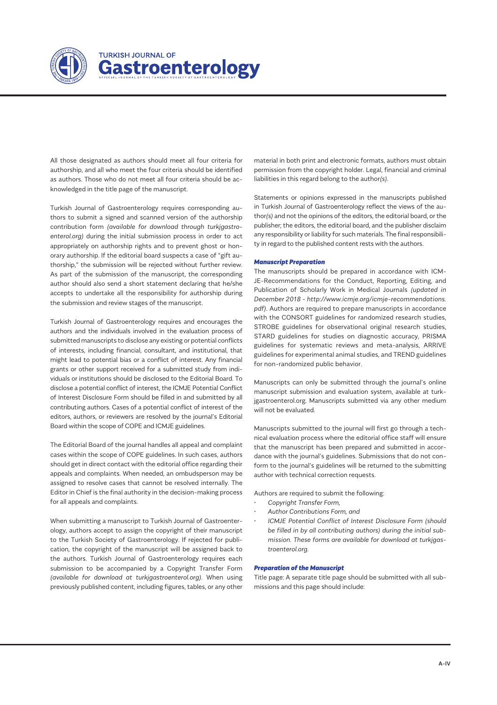

All those designated as authors should meet all four criteria for authorship, and all who meet the four criteria should be identified as authors. Those who do not meet all four criteria should be acknowledged in the title page of the manuscript.

Turkish Journal of Gastroenterology requires corresponding authors to submit a signed and scanned version of the authorship contribution form *(available for download through turkjgastroenterol.org)* during the initial submission process in order to act appropriately on authorship rights and to prevent ghost or honorary authorship. If the editorial board suspects a case of "gift authorship," the submission will be rejected without further review. As part of the submission of the manuscript, the corresponding author should also send a short statement declaring that he/she accepts to undertake all the responsibility for authorship during the submission and review stages of the manuscript.

Turkish Journal of Gastroenterology requires and encourages the authors and the individuals involved in the evaluation process of submitted manuscripts to disclose any existing or potential conflicts of interests, including financial, consultant, and institutional, that might lead to potential bias or a conflict of interest. Any financial grants or other support received for a submitted study from individuals or institutions should be disclosed to the Editorial Board. To disclose a potential conflict of interest, the ICMJE Potential Conflict of Interest Disclosure Form should be filled in and submitted by all contributing authors. Cases of a potential conflict of interest of the editors, authors, or reviewers are resolved by the journal's Editorial Board within the scope of COPE and ICMJE guidelines.

The Editorial Board of the journal handles all appeal and complaint cases within the scope of COPE guidelines. In such cases, authors should get in direct contact with the editorial office regarding their appeals and complaints. When needed, an ombudsperson may be assigned to resolve cases that cannot be resolved internally. The Editor in Chief is the final authority in the decision-making process for all appeals and complaints.

When submitting a manuscript to Turkish Journal of Gastroenterology, authors accept to assign the copyright of their manuscript to the Turkish Society of Gastroenterology. If rejected for publication, the copyright of the manuscript will be assigned back to the authors. Turkish Journal of Gastroenterology requires each submission to be accompanied by a Copyright Transfer Form *(available for download at turkjgastroenterol.org)*. When using previously published content, including figures, tables, or any other material in both print and electronic formats, authors must obtain permission from the copyright holder. Legal, financial and criminal liabilities in this regard belong to the author*(s)*.

Statements or opinions expressed in the manuscripts published in Turkish Journal of Gastroenterology reflect the views of the author*(s)* and not the opinions of the editors, the editorial board, or the publisher; the editors, the editorial board, and the publisher disclaim any responsibility or liability for such materials. The final responsibility in regard to the published content rests with the authors.

#### *Manuscript Preparation*

The manuscripts should be prepared in accordance with ICM-JE-Recommendations for the Conduct, Reporting, Editing, and Publication of Scholarly Work in Medical Journals *(updated in December 2018 - http://www.icmje.org/icmje-recommendations. pdf)*. Authors are required to prepare manuscripts in accordance with the CONSORT guidelines for randomized research studies, STROBE guidelines for observational original research studies, STARD guidelines for studies on diagnostic accuracy, PRISMA guidelines for systematic reviews and meta-analysis, ARRIVE guidelines for experimental animal studies, and TREND guidelines for non-randomized public behavior.

Manuscripts can only be submitted through the journal's online manuscript submission and evaluation system, available at turkjgastroenterol.org. Manuscripts submitted via any other medium will not be evaluated.

Manuscripts submitted to the journal will first go through a technical evaluation process where the editorial office staff will ensure that the manuscript has been prepared and submitted in accordance with the journal's guidelines. Submissions that do not conform to the journal's guidelines will be returned to the submitting author with technical correction requests.

Authors are required to submit the following:

- *• Copyright Transfer Form,*
- *• Author Contributions Form, and*
- *• ICMJE Potential Conflict of Interest Disclosure Form (should be filled in by all contributing authors) during the initial submission. These forms are available for download at turkjgastroenterol.org.*

#### *Preparation of the Manuscript*

Title page: A separate title page should be submitted with all submissions and this page should include: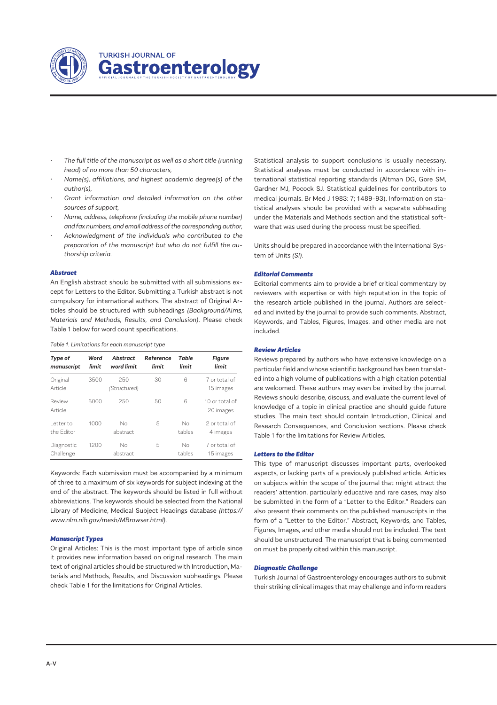

- *• The full title of the manuscript as well as a short title (running head) of no more than 50 characters,*
- *• Name(s), affiliations, and highest academic degree(s) of the author(s),*
- *• Grant information and detailed information on the other sources of support,*
- *• Name, address, telephone (including the mobile phone number) and fax numbers, and email address of the corresponding author,*
- *• Acknowledgment of the individuals who contributed to the preparation of the manuscript but who do not fulfill the authorship criteria.*

#### *Abstract*

An English abstract should be submitted with all submissions except for Letters to the Editor. Submitting a Turkish abstract is not compulsory for international authors. The abstract of Original Articles should be structured with subheadings *(Background/Aims, Materials and Methods, Results, and Conclusion)*. Please check Table 1 below for word count specifications.

#### *Table 1. Limitations for each manuscript type*

| Type of<br>manuscript    | Word<br>limit | Abstract<br>word limit | Reference<br>limit | Table<br>limit | Figure<br>limit             |
|--------------------------|---------------|------------------------|--------------------|----------------|-----------------------------|
| Original<br>Article      | 3500          | 250<br>(Structured)    | 30                 | 6              | 7 or total of<br>15 images  |
| Review<br>Article        | 5000          | 250                    | 50                 | 6              | 10 or total of<br>20 images |
| I etter to<br>the Editor | 1000          | Nο<br>abstract         | 5                  | No<br>tables   | 2 or total of<br>4 images   |
| Diagnostic<br>Challenge  | 1200          | Nο<br>abstract         | 5                  | No<br>tables   | 7 or total of<br>15 images  |

Keywords: Each submission must be accompanied by a minimum of three to a maximum of six keywords for subject indexing at the end of the abstract. The keywords should be listed in full without abbreviations. The keywords should be selected from the National Library of Medicine, Medical Subject Headings database *(https:// www.nlm.nih.gov/mesh/MBrowser.html)*.

#### *Manuscript Types*

Original Articles: This is the most important type of article since it provides new information based on original research. The main text of original articles should be structured with Introduction, Materials and Methods, Results, and Discussion subheadings. Please check Table 1 for the limitations for Original Articles.

Statistical analysis to support conclusions is usually necessary. Statistical analyses must be conducted in accordance with international statistical reporting standards (Altman DG, Gore SM, Gardner MJ, Pocock SJ. Statistical guidelines for contributors to medical journals. Br Med J 1983: 7; 1489-93). Information on statistical analyses should be provided with a separate subheading under the Materials and Methods section and the statistical software that was used during the process must be specified.

Units should be prepared in accordance with the International System of Units *(SI).*

#### *Editorial Comments*

Editorial comments aim to provide a brief critical commentary by reviewers with expertise or with high reputation in the topic of the research article published in the journal. Authors are selected and invited by the journal to provide such comments. Abstract, Keywords, and Tables, Figures, Images, and other media are not included.

#### *Review Articles*

Reviews prepared by authors who have extensive knowledge on a particular field and whose scientific background has been translated into a high volume of publications with a high citation potential are welcomed. These authors may even be invited by the journal. Reviews should describe, discuss, and evaluate the current level of knowledge of a topic in clinical practice and should guide future studies. The main text should contain Introduction, Clinical and Research Consequences, and Conclusion sections. Please check Table 1 for the limitations for Review Articles.

#### *Letters to the Editor*

This type of manuscript discusses important parts, overlooked aspects, or lacking parts of a previously published article. Articles on subjects within the scope of the journal that might attract the readers' attention, particularly educative and rare cases, may also be submitted in the form of a "Letter to the Editor." Readers can also present their comments on the published manuscripts in the form of a "Letter to the Editor." Abstract, Keywords, and Tables, Figures, Images, and other media should not be included. The text should be unstructured. The manuscript that is being commented on must be properly cited within this manuscript.

#### *Diagnostic Challenge*

Turkish Journal of Gastroenterology encourages authors to submit their striking clinical images that may challenge and inform readers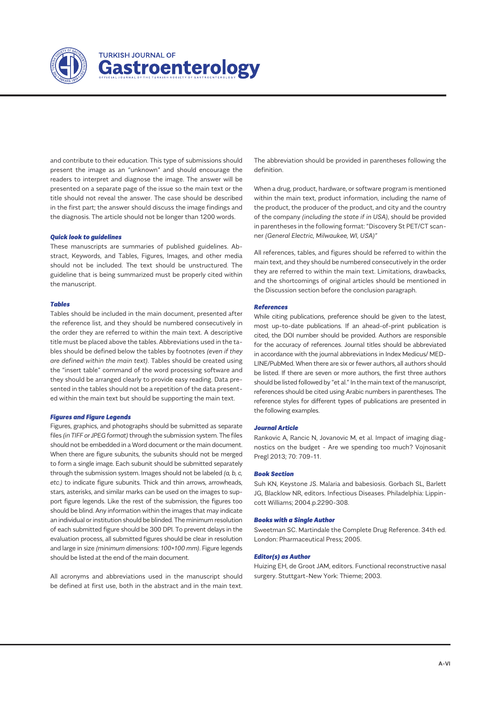

and contribute to their education. This type of submissions should present the image as an "unknown" and should encourage the readers to interpret and diagnose the image. The answer will be presented on a separate page of the issue so the main text or the title should not reveal the answer. The case should be described in the first part; the answer should discuss the image findings and the diagnosis. The article should not be longer than 1200 words.

#### *Quick look to guidelines*

These manuscripts are summaries of published guidelines. Abstract, Keywords, and Tables, Figures, Images, and other media should not be included. The text should be unstructured. The guideline that is being summarized must be properly cited within the manuscript.

#### *Tables*

Tables should be included in the main document, presented after the reference list, and they should be numbered consecutively in the order they are referred to within the main text. A descriptive title must be placed above the tables. Abbreviations used in the tables should be defined below the tables by footnotes *(even if they are defined within the main text)*. Tables should be created using the "insert table" command of the word processing software and they should be arranged clearly to provide easy reading. Data presented in the tables should not be a repetition of the data presented within the main text but should be supporting the main text.

#### *Figures and Figure Legends*

Figures, graphics, and photographs should be submitted as separate files *(in TIFF or JPEG format)* through the submission system. The files should not be embedded in a Word document or the main document. When there are figure subunits, the subunits should not be merged to form a single image. Each subunit should be submitted separately through the submission system. Images should not be labeled *(a, b, c, etc.)* to indicate figure subunits. Thick and thin arrows, arrowheads, stars, asterisks, and similar marks can be used on the images to support figure legends. Like the rest of the submission, the figures too should be blind. Any information within the images that may indicate an individual or institution should be blinded. The minimum resolution of each submitted figure should be 300 DPI. To prevent delays in the evaluation process, all submitted figures should be clear in resolution and large in size *(minimum dimensions: 100×100 mm)*. Figure legends should be listed at the end of the main document.

All acronyms and abbreviations used in the manuscript should be defined at first use, both in the abstract and in the main text. The abbreviation should be provided in parentheses following the definition.

When a drug, product, hardware, or software program is mentioned within the main text, product information, including the name of the product, the producer of the product, and city and the country of the company *(including the state if in USA)*, should be provided in parentheses in the following format: "Discovery St PET/CT scanner *(General Electric, Milwaukee, WI, USA)"*

All references, tables, and figures should be referred to within the main text, and they should be numbered consecutively in the order they are referred to within the main text. Limitations, drawbacks, and the shortcomings of original articles should be mentioned in the Discussion section before the conclusion paragraph.

#### *References*

While citing publications, preference should be given to the latest, most up-to-date publications. If an ahead-of-print publication is cited, the DOI number should be provided. Authors are responsible for the accuracy of references. Journal titles should be abbreviated in accordance with the journal abbreviations in Index Medicus/ MED-LINE/PubMed. When there are six or fewer authors, all authors should be listed. If there are seven or more authors, the first three authors should be listed followed by "et al." In the main text of the manuscript, references should be cited using Arabic numbers in parentheses. The reference styles for different types of publications are presented in the following examples.

#### *Journal Article*

Rankovic A, Rancic N, Jovanovic M, et al. Impact of imaging diagnostics on the budget - Are we spending too much? Vojnosanit Pregl 2013; 70: 709-11.

#### *Book Section*

Suh KN, Keystone JS. Malaria and babesiosis. Gorbach SL, Barlett JG, Blacklow NR, editors. Infectious Diseases. Philadelphia: Lippincott Williams; 2004.p.2290-308.

#### *Books with a Single Author*

Sweetman SC. Martindale the Complete Drug Reference. 34th ed. London: Pharmaceutical Press; 2005.

#### *Editor(s) as Author*

Huizing EH, de Groot JAM, editors. Functional reconstructive nasal surgery. Stuttgart-New York: Thieme; 2003.